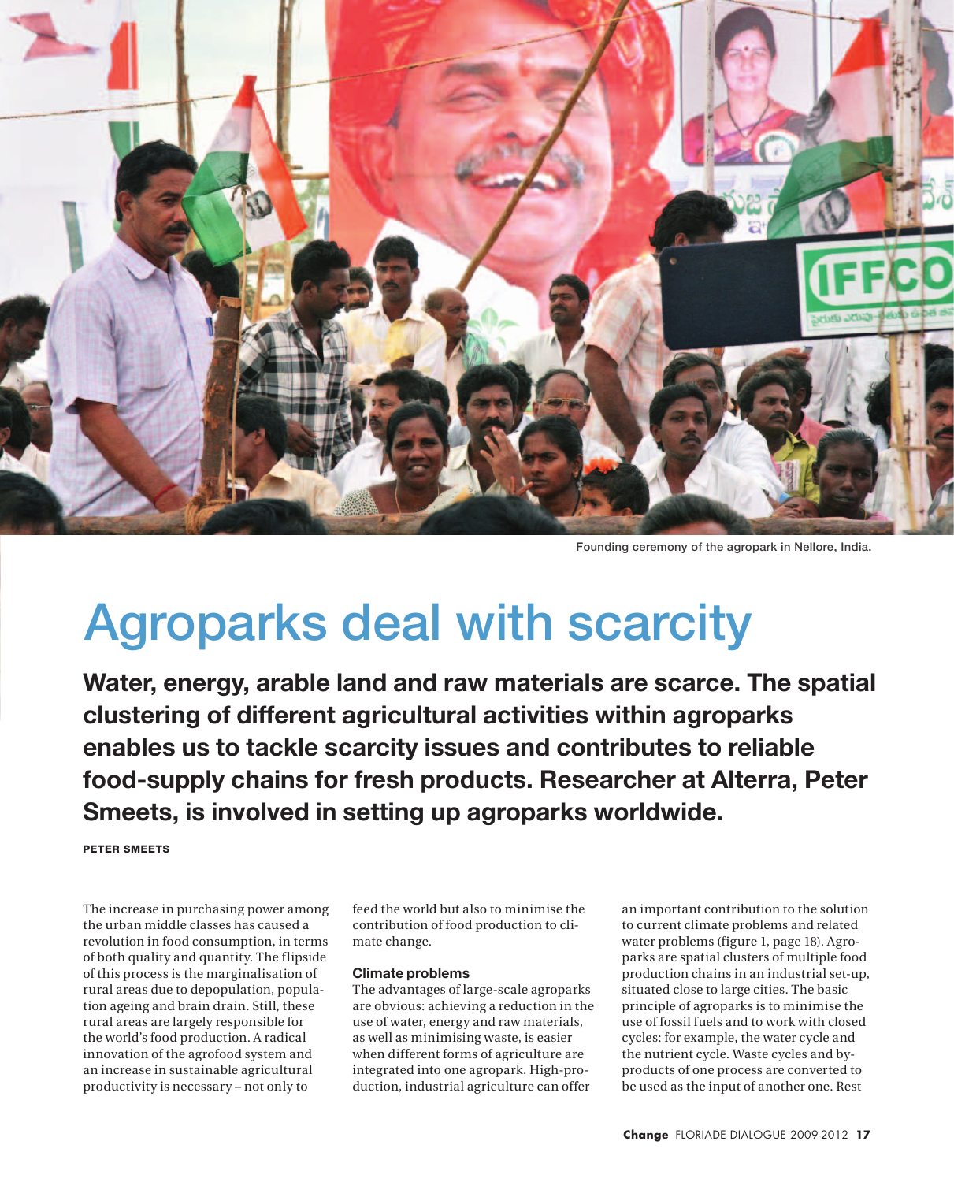

Founding ceremony of the agropark in Nellore, India.

# Agroparks deal with scarcity

**Water, energy, arable land and raw materials are scarce. The spatial clustering of different agricultural activities within agroparks enables us to tackle scarcity issues and contributes to reliable food-supply chains for fresh products. Researcher at Alterra, Peter Smeets, is involved in setting up agroparks worldwide.** 

Peter Smeets

The increase in purchasing power among the urban middle classes has caused a revolution in food consumption, in terms of both quality and quantity. The flipside of this process is the marginalisation of rural areas due to depopulation, population ageing and brain drain. Still, these rural areas are largely responsible for the world's food production. A radical innovation of the agrofood system and an increase in sustainable agricultural productivity is necessary – not only to

feed the world but also to minimise the contribution of food production to climate change.

### **Climate problems**

The advantages of large-scale agroparks are obvious: achieving a reduction in the use of water, energy and raw materials, as well as minimising waste, is easier when different forms of agriculture are integrated into one agropark. High-production, industrial agriculture can offer

an important contribution to the solution to current climate problems and related water problems (figure 1, page 18). Agroparks are spatial clusters of multiple food production chains in an industrial set-up, situated close to large cities. The basic principle of agroparks is to minimise the use of fossil fuels and to work with closed cycles: for example, the water cycle and the nutrient cycle. Waste cycles and byproducts of one process are converted to be used as the input of another one. Rest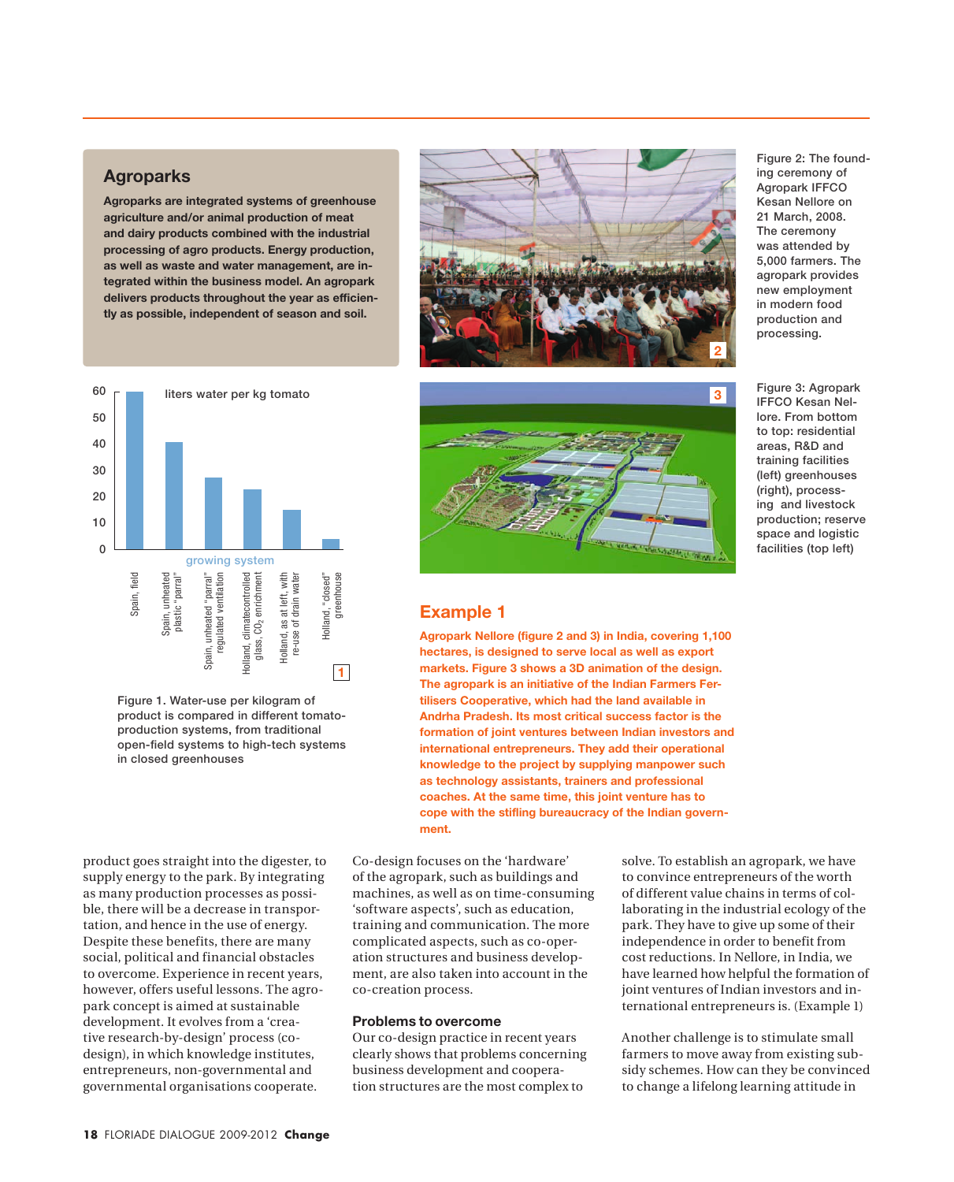## **Agroparks**

**Agroparks are integrated systems of greenhouse agriculture and/or animal production of meat and dairy products combined with the industrial processing of agro products. Energy production, as well as waste and water management, are integrated within the business model. An agropark delivers products throughout the year as efficiently as possible, independent of season and soil.**



Figure 1. Water-use per kilogram of product is compared in different tomatoproduction systems, from traditional open-field systems to high-tech systems in closed greenhouses

product goes straight into the digester, to supply energy to the park. By integrating as many production processes as possible, there will be a decrease in transportation, and hence in the use of energy. Despite these benefits, there are many social, political and financial obstacles to overcome. Experience in recent years, however, offers useful lessons. The agropark concept is aimed at sustainable development. It evolves from a 'creative research-by-design' process (codesign), in which knowledge institutes, entrepreneurs, non-governmental and governmental organisations cooperate.





## **Example 1**

**Agropark Nellore (figure 2 and 3) in India, covering 1,100 hectares, is designed to serve local as well as export markets. Figure 3 shows a 3D animation of the design. The agropark is an initiative of the Indian Farmers Fertilisers Cooperative, which had the land available in Andrha Pradesh. Its most critical success factor is the formation of joint ventures between Indian investors and international entrepreneurs. They add their operational knowledge to the project by supplying manpower such as technology assistants, trainers and professional coaches. At the same time, this joint venture has to cope with the stifling bureaucracy of the Indian government.**

Co-design focuses on the 'hardware' of the agropark, such as buildings and machines, as well as on time-consuming 'software aspects', such as education, training and communication. The more complicated aspects, such as co-operation structures and business development, are also taken into account in the co-creation process.

## **Problems to overcome**

Our co-design practice in recent years clearly shows that problems concerning business development and cooperation structures are the most complex to

solve. To establish an agropark, we have to convince entrepreneurs of the worth of different value chains in terms of collaborating in the industrial ecology of the park. They have to give up some of their independence in order to benefit from cost reductions. In Nellore, in India, we have learned how helpful the formation of joint ventures of Indian investors and international entrepreneurs is. (Example 1)

Another challenge is to stimulate small farmers to move away from existing subsidy schemes. How can they be convinced to change a lifelong learning attitude in

Figure 2: The founding ceremony of Agropark IFFCO Kesan Nellore on 21 March, 2008. The ceremony was attended by 5,000 farmers. The agropark provides new employment in modern food production and processing.

Figure 3: Agropark IFFCO Kesan Nellore. From bottom to top: residential areas, R&D and training facilities (left) greenhouses (right), processing and livestock production; reserve space and logistic facilities (top left)